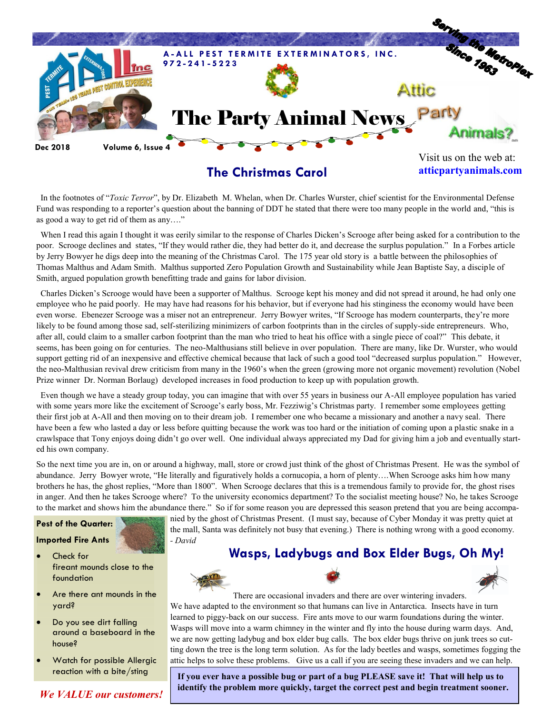

## **The Christmas Carol**

**atticpartyanimals.com**

 In the footnotes of "*Toxic Terror*", by Dr. Elizabeth M. Whelan, when Dr. Charles Wurster, chief scientist for the Environmental Defense Fund was responding to a reporter's question about the banning of DDT he stated that there were too many people in the world and, "this is as good a way to get rid of them as any…."

 When I read this again I thought it was eerily similar to the response of Charles Dicken's Scrooge after being asked for a contribution to the poor. Scrooge declines and states, "If they would rather die, they had better do it, and decrease the surplus population." In a Forbes article by Jerry Bowyer he digs deep into the meaning of the Christmas Carol. The 175 year old story is a battle between the philosophies of Thomas Malthus and Adam Smith. Malthus supported Zero Population Growth and Sustainability while Jean Baptiste Say, a disciple of Smith, argued population growth benefitting trade and gains for labor division.

 Charles Dicken's Scrooge would have been a supporter of Malthus. Scrooge kept his money and did not spread it around, he had only one employee who he paid poorly. He may have had reasons for his behavior, but if everyone had his stinginess the economy would have been even worse. Ebenezer Scrooge was a miser not an entrepreneur. Jerry Bowyer writes, "If Scrooge has modern counterparts, they're more likely to be found among those sad, self-sterilizing minimizers of carbon footprints than in the circles of supply-side entrepreneurs. Who, after all, could claim to a smaller carbon footprint than the man who tried to heat his office with a single piece of coal?" This debate, it seems, has been going on for centuries. The neo-Malthusians still believe in over population. There are many, like Dr. Wurster, who would support getting rid of an inexpensive and effective chemical because that lack of such a good tool "decreased surplus population." However, the neo-Malthusian revival drew criticism from many in the 1960's when the green (growing more not organic movement) revolution (Nobel Prize winner Dr. Norman Borlaug) developed increases in food production to keep up with population growth.

 Even though we have a steady group today, you can imagine that with over 55 years in business our A-All employee population has varied with some years more like the excitement of Scrooge's early boss, Mr. Fezziwig's Christmas party. I remember some employees getting their first job at A-All and then moving on to their dream job. I remember one who became a missionary and another a navy seal. There have been a few who lasted a day or less before quitting because the work was too hard or the initiation of coming upon a plastic snake in a crawlspace that Tony enjoys doing didn't go over well. One individual always appreciated my Dad for giving him a job and eventually started his own company.

So the next time you are in, on or around a highway, mall, store or crowd just think of the ghost of Christmas Present. He was the symbol of abundance. Jerry Bowyer wrote, "He literally and figuratively holds a cornucopia, a horn of plenty….When Scrooge asks him how many brothers he has, the ghost replies, "More than 1800". When Scrooge declares that this is a tremendous family to provide for, the ghost rises in anger. And then he takes Scrooge where? To the university economics department? To the socialist meeting house? No, he takes Scrooge to the market and shows him the abundance there." So if for some reason you are depressed this season pretend that you are being accompa-

#### **Pest of the Quarter:**

#### **Imported Fire Ants**

- Check for fireant mounds close to the foundation
- Are there ant mounds in the yard?
- Do you see dirt falling around a baseboard in the house?
- Watch for possible Allergic reaction with a bite/sting

*We VALUE our customers!*

nied by the ghost of Christmas Present. (I must say, because of Cyber Monday it was pretty quiet at the mall, Santa was definitely not busy that evening.) There is nothing wrong with a good economy. *- David*

### **Wasps, Ladybugs and Box Elder Bugs, Oh My!**







**If you ever have a possible bug or part of a bug PLEASE save it! That will help us to identify the problem more quickly, target the correct pest and begin treatment sooner.**